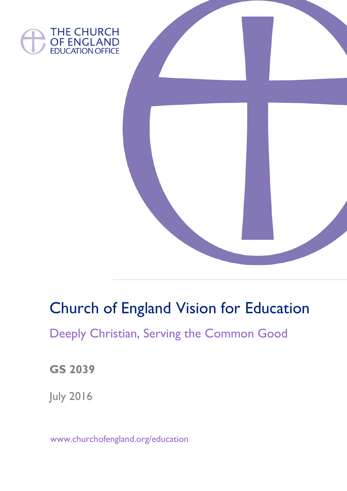



# Church of England Vision for Education

## Deeply Christian, Serving the Common Good

**GS 2039**

July 2016

www.churchofengland.org/education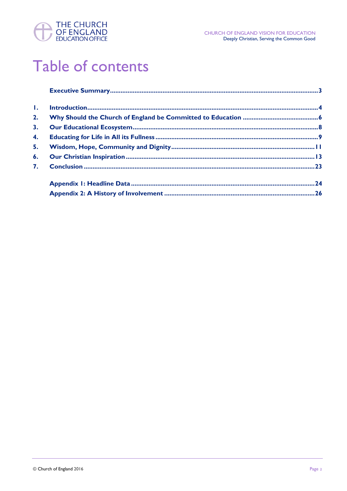

# Table of contents

| $\mathbf{L}$ |  |
|--------------|--|
| 2.           |  |
| 3.           |  |
| 4.           |  |
| 5.           |  |
| 6.           |  |
| 7.           |  |
|              |  |
|              |  |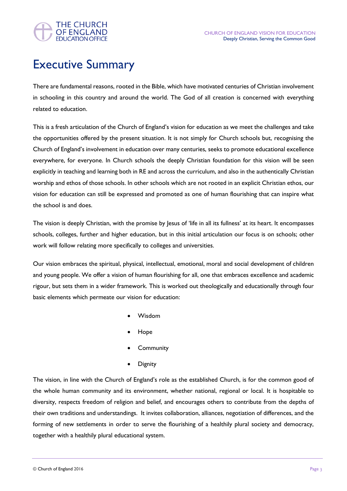

### Executive Summary

There are fundamental reasons, rooted in the Bible, which have motivated centuries of Christian involvement in schooling in this country and around the world. The God of all creation is concerned with everything related to education.

This is a fresh articulation of the Church of England's vision for education as we meet the challenges and take the opportunities offered by the present situation. It is not simply for Church schools but, recognising the Church of England's involvement in education over many centuries, seeks to promote educational excellence everywhere, for everyone. In Church schools the deeply Christian foundation for this vision will be seen explicitly in teaching and learning both in RE and across the curriculum, and also in the authentically Christian worship and ethos of those schools. In other schools which are not rooted in an explicit Christian ethos, our vision for education can still be expressed and promoted as one of human flourishing that can inspire what the school is and does.

The vision is deeply Christian, with the promise by Jesus of 'life in all its fullness' at its heart. It encompasses schools, colleges, further and higher education, but in this initial articulation our focus is on schools; other work will follow relating more specifically to colleges and universities.

Our vision embraces the spiritual, physical, intellectual, emotional, moral and social development of children and young people. We offer a vision of human flourishing for all, one that embraces excellence and academic rigour, but sets them in a wider framework. This is worked out theologically and educationally through four basic elements which permeate our vision for education:

- Wisdom
- Hope
- **Community**
- **Dignity**

The vision, in line with the Church of England's role as the established Church, is for the common good of the whole human community and its environment, whether national, regional or local. It is hospitable to diversity, respects freedom of religion and belief, and encourages others to contribute from the depths of their own traditions and understandings. It invites collaboration, alliances, negotiation of differences, and the forming of new settlements in order to serve the flourishing of a healthily plural society and democracy, together with a healthily plural educational system.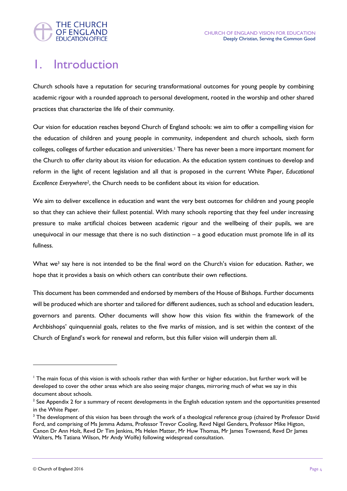

### 1. Introduction

Church schools have a reputation for securing transformational outcomes for young people by combining academic rigour with a rounded approach to personal development, rooted in the worship and other shared practices that characterize the life of their community.

Our vision for education reaches beyond Church of England schools: we aim to offer a compelling vision for the education of children and young people in community, independent and church schools, sixth form colleges, colleges of further education and universities.<sup>1</sup> There has never been a more important moment for the Church to offer clarity about its vision for education. As the education system continues to develop and reform in the light of recent legislation and all that is proposed in the current White Paper, *Educational Excellence Everywhere2*, the Church needs to be confident about its vision for education.

We aim to deliver excellence in education and want the very best outcomes for children and young people so that they can achieve their fullest potential. With many schools reporting that they feel under increasing pressure to make artificial choices between academic rigour and the wellbeing of their pupils, we are unequivocal in our message that there is no such distinction – a good education must promote life in *all* its fullness.

What we<sup>3</sup> say here is not intended to be the final word on the Church's vision for education. Rather, we hope that it provides a basis on which others can contribute their own reflections.

This document has been commended and endorsed by members of the House of Bishops. Further documents will be produced which are shorter and tailored for different audiences, such as school and education leaders, governors and parents. Other documents will show how this vision fits within the framework of the Archbishops' quinquennial goals, relates to the five marks of mission, and is set within the context of the Church of England's work for renewal and reform, but this fuller vision will underpin them all.

<sup>&</sup>lt;sup>1</sup> The main focus of this vision is with schools rather than with further or higher education, but further work will be developed to cover the other areas which are also seeing major changes, mirroring much of what we say in this document about schools.

 $2$  See Appendix 2 for a summary of recent developments in the English education system and the opportunities presented in the White Paper.

<sup>&</sup>lt;sup>3</sup> The development of this vision has been through the work of a theological reference group (chaired by Professor David Ford, and comprising of Ms Jemma Adams, Professor Trevor Cooling, Revd Nigel Genders, Professor Mike Higton, Canon Dr Ann Holt, Revd Dr Tim Jenkins, Ms Helen Matter, Mr Huw Thomas, Mr James Townsend, Revd Dr James Walters, Ms Tatiana Wilson, Mr Andy Wolfe) following widespread consultation.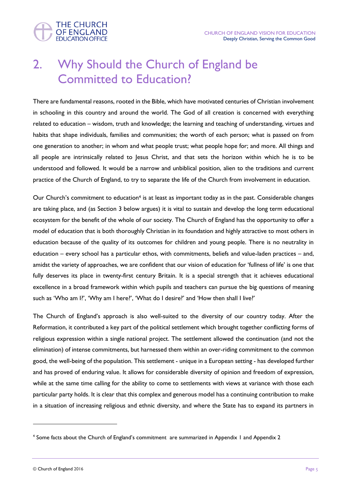

### 2. Why Should the Church of England be Committed to Education?

There are fundamental reasons, rooted in the Bible, which have motivated centuries of Christian involvement in schooling in this country and around the world. The God of all creation is concerned with everything related to education – wisdom, truth and knowledge; the learning and teaching of understanding, virtues and habits that shape individuals, families and communities; the worth of each person; what is passed on from one generation to another; in whom and what people trust; what people hope for; and more. All things and all people are intrinsically related to Jesus Christ, and that sets the horizon within which he is to be understood and followed. It would be a narrow and unbiblical position, alien to the traditions and current practice of the Church of England, to try to separate the life of the Church from involvement in education.

Our Church's commitment to education<sup>4</sup> is at least as important today as in the past. Considerable changes are taking place, and (as Section 3 below argues) it is vital to sustain and develop the long term educational ecosystem for the benefit of the whole of our society. The Church of England has the opportunity to offer a model of education that is both thoroughly Christian in its foundation and highly attractive to most others in education because of the quality of its outcomes for children and young people. There is no neutrality in education – every school has a particular ethos, with commitments, beliefs and value-laden practices – and, amidst the variety of approaches, we are confident that our vision of education for 'fullness of life' is one that fully deserves its place in twenty-first century Britain. It is a special strength that it achieves educational excellence in a broad framework within which pupils and teachers can pursue the big questions of meaning such as 'Who am I?', 'Why am I here?', 'What do I desire?' and 'How then shall I live?'

The Church of England's approach is also well-suited to the diversity of our country today. After the Reformation, it contributed a key part of the political settlement which brought together conflicting forms of religious expression within a single national project. The settlement allowed the continuation (and not the elimination) of intense commitments, but harnessed them within an over-riding commitment to the common good, the well-being of the population. This settlement - unique in a European setting - has developed further and has proved of enduring value. It allows for considerable diversity of opinion and freedom of expression, while at the same time calling for the ability to come to settlements with views at variance with those each particular party holds. It is clear that this complex and generous model has a continuing contribution to make in a situation of increasing religious and ethnic diversity, and where the State has to expand its partners in

<sup>4</sup> Some facts about the Church of England's commitment are summarized in Appendix 1 and Appendix 2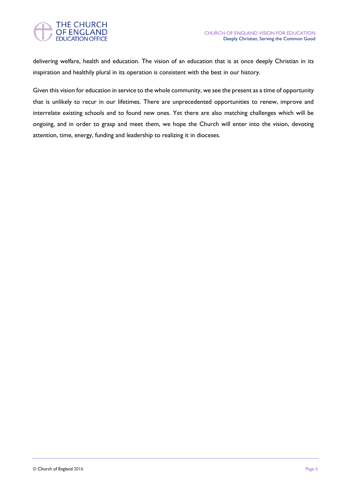

delivering welfare, health and education. The vision of an education that is at once deeply Christian in its inspiration and healthily plural in its operation is consistent with the best in our history.

Given this vision for education in service to the whole community, we see the present as a time of opportunity that is unlikely to recur in our lifetimes. There are unprecedented opportunities to renew, improve and interrelate existing schools and to found new ones. Yet there are also matching challenges which will be ongoing, and in order to grasp and meet them, we hope the Church will enter into the vision, devoting attention, time, energy, funding and leadership to realizing it in dioceses.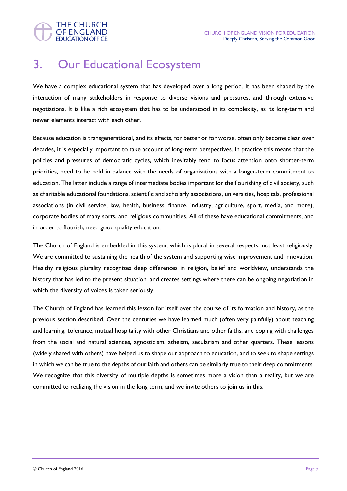

### 3. Our Educational Ecosystem

We have a complex educational system that has developed over a long period. It has been shaped by the interaction of many stakeholders in response to diverse visions and pressures, and through extensive negotiations. It is like a rich ecosystem that has to be understood in its complexity, as its long-term and newer elements interact with each other.

Because education is transgenerational, and its effects, for better or for worse, often only become clear over decades, it is especially important to take account of long-term perspectives. In practice this means that the policies and pressures of democratic cycles, which inevitably tend to focus attention onto shorter-term priorities, need to be held in balance with the needs of organisations with a longer-term commitment to education. The latter include a range of intermediate bodies important for the flourishing of civil society, such as charitable educational foundations, scientific and scholarly associations, universities, hospitals, professional associations (in civil service, law, health, business, finance, industry, agriculture, sport, media, and more), corporate bodies of many sorts, and religious communities. All of these have educational commitments, and in order to flourish, need good quality education.

The Church of England is embedded in this system, which is plural in several respects, not least religiously. We are committed to sustaining the health of the system and supporting wise improvement and innovation. Healthy religious plurality recognizes deep differences in religion, belief and worldview, understands the history that has led to the present situation, and creates settings where there can be ongoing negotiation in which the diversity of voices is taken seriously.

The Church of England has learned this lesson for itself over the course of its formation and history, as the previous section described. Over the centuries we have learned much (often very painfully) about teaching and learning, tolerance, mutual hospitality with other Christians and other faiths, and coping with challenges from the social and natural sciences, agnosticism, atheism, secularism and other quarters. These lessons (widely shared with others) have helped us to shape our approach to education, and to seek to shape settings in which we can be true to the depths of our faith and others can be similarly true to their deep commitments. We recognize that this diversity of multiple depths is sometimes more a vision than a reality, but we are committed to realizing the vision in the long term, and we invite others to join us in this.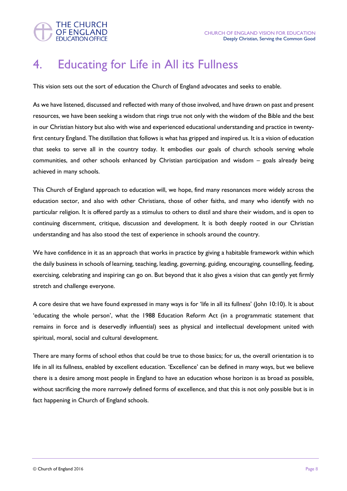

### 4. Educating for Life in All its Fullness

This vision sets out the sort of education the Church of England advocates and seeks to enable.

As we have listened, discussed and reflected with many of those involved, and have drawn on past and present resources, we have been seeking a wisdom that rings true not only with the wisdom of the Bible and the best in our Christian history but also with wise and experienced educational understanding and practice in twentyfirst century England. The distillation that follows is what has gripped and inspired us. It is a vision of education that seeks to serve all in the country today. It embodies our goals of church schools serving whole communities, and other schools enhanced by Christian participation and wisdom – goals already being achieved in many schools.

This Church of England approach to education will, we hope, find many resonances more widely across the education sector, and also with other Christians, those of other faiths, and many who identify with no particular religion. It is offered partly as a stimulus to others to distil and share their wisdom, and is open to continuing discernment, critique, discussion and development. It is both deeply rooted in our Christian understanding and has also stood the test of experience in schools around the country.

We have confidence in it as an approach that works in practice by giving a habitable framework within which the daily business in schools of learning, teaching, leading, governing, guiding, encouraging, counselling, feeding, exercising, celebrating and inspiring can go on. But beyond that it also gives a vision that can gently yet firmly stretch and challenge everyone.

A core desire that we have found expressed in many ways is for 'life in all its fullness' (John 10:10). It is about 'educating the whole person', what the 1988 Education Reform Act (in a programmatic statement that remains in force and is deservedly influential) sees as physical and intellectual development united with spiritual, moral, social and cultural development.

There are many forms of school ethos that could be true to those basics; for us, the overall orientation is to life in all its fullness, enabled by excellent education. 'Excellence' can be defined in many ways, but we believe there is a desire among most people in England to have an education whose horizon is as broad as possible, without sacrificing the more narrowly defined forms of excellence, and that this is not only possible but is in fact happening in Church of England schools.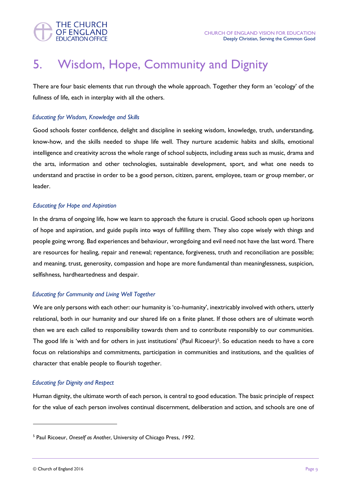

### 5. Wisdom, Hope, Community and Dignity

There are four basic elements that run through the whole approach. Together they form an 'ecology' of the fullness of life, each in interplay with all the others.

#### *Educating for Wisdom, Knowledge and Skills*

Good schools foster confidence, delight and discipline in seeking wisdom, knowledge, truth, understanding, know-how, and the skills needed to shape life well. They nurture academic habits and skills, emotional intelligence and creativity across the whole range of school subjects, including areas such as music, drama and the arts, information and other technologies, sustainable development, sport, and what one needs to understand and practise in order to be a good person, citizen, parent, employee, team or group member, or leader.

#### *Educating for Hope and Aspiration*

In the drama of ongoing life, how we learn to approach the future is crucial. Good schools open up horizons of hope and aspiration, and guide pupils into ways of fulfilling them. They also cope wisely with things and people going wrong. Bad experiences and behaviour, wrongdoing and evil need not have the last word. There are resources for healing, repair and renewal; repentance, forgiveness, truth and reconciliation are possible; and meaning, trust, generosity, compassion and hope are more fundamental than meaninglessness, suspicion, selfishness, hardheartedness and despair.

#### *Educating for Community and Living Well Together*

We are only persons with each other: our humanity is 'co-humanity', inextricably involved with others, utterly relational, both in our humanity and our shared life on a finite planet. If those others are of ultimate worth then we are each called to responsibility towards them and to contribute responsibly to our communities. The good life is 'with and for others in just institutions' (Paul Ricoeur)<sup>5</sup>. So education needs to have a core focus on relationships and commitments, participation in communities and institutions, and the qualities of character that enable people to flourish together.

#### *Educating for Dignity and Respect*

Human dignity, the ultimate worth of each person, is central to good education. The basic principle of respect for the value of each person involves continual discernment, deliberation and action, and schools are one of

<sup>5</sup> Paul Ricoeur, *Oneself as Another*, University of Chicago Press, *1992.*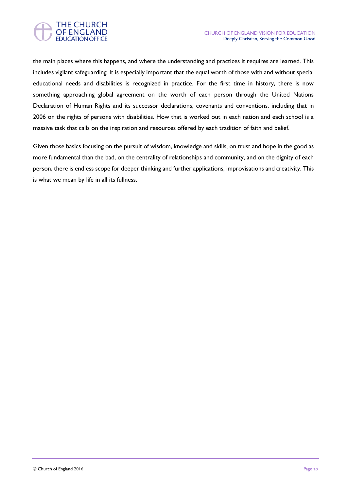



the main places where this happens, and where the understanding and practices it requires are learned. This includes vigilant safeguarding. It is especially important that the equal worth of those with and without special educational needs and disabilities is recognized in practice. For the first time in history, there is now something approaching global agreement on the worth of each person through the United Nations Declaration of Human Rights and its successor declarations, covenants and conventions, including that in 2006 on the rights of persons with disabilities. How that is worked out in each nation and each school is a massive task that calls on the inspiration and resources offered by each tradition of faith and belief.

Given those basics focusing on the pursuit of wisdom, knowledge and skills, on trust and hope in the good as more fundamental than the bad, on the centrality of relationships and community, and on the dignity of each person, there is endless scope for deeper thinking and further applications, improvisations and creativity. This is what we mean by life in all its fullness.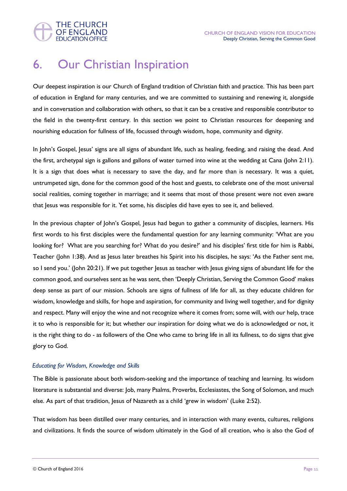

### 6. Our Christian Inspiration

Our deepest inspiration is our Church of England tradition of Christian faith and practice. This has been part of education in England for many centuries, and we are committed to sustaining and renewing it, alongside and in conversation and collaboration with others, so that it can be a creative and responsible contributor to the field in the twenty-first century. In this section we point to Christian resources for deepening and nourishing education for fullness of life, focussed through wisdom, hope, community and dignity.

In John's Gospel, Jesus' signs are all signs of abundant life, such as healing, feeding, and raising the dead. And the first, archetypal sign is gallons and gallons of water turned into wine at the wedding at Cana (John 2:11). It is a sign that does what is necessary to save the day, and far more than is necessary. It was a quiet, untrumpeted sign, done for the common good of the host and guests, to celebrate one of the most universal social realities, coming together in marriage; and it seems that most of those present were not even aware that Jesus was responsible for it. Yet some, his disciples did have eyes to see it, and believed.

In the previous chapter of John's Gospel, Jesus had begun to gather a community of disciples, learners. His first words to his first disciples were the fundamental question for any learning community: 'What are you looking for? What are you searching for? What do you desire?' and his disciples' first title for him is Rabbi, Teacher (John 1:38). And as Jesus later breathes his Spirit into his disciples, he says: 'As the Father sent me, so I send you.' (John 20:21). If we put together Jesus as teacher with Jesus giving signs of abundant life for the common good, and ourselves sent as he was sent, then 'Deeply Christian, Serving the Common Good' makes deep sense as part of our mission. Schools are signs of fullness of life for all, as they educate children for wisdom, knowledge and skills, for hope and aspiration, for community and living well together, and for dignity and respect. Many will enjoy the wine and not recognize where it comes from; some will, with our help, trace it to who is responsible for it; but whether our inspiration for doing what we do is acknowledged or not, it is the right thing to do - as followers of the One who came to bring life in all its fullness, to do signs that give glory to God.

#### *Educating for Wisdom, Knowledge and Skills*

The Bible is passionate about both wisdom-seeking and the importance of teaching and learning. Its wisdom literature is substantial and diverse: Job, many Psalms, Proverbs, Ecclesiastes, the Song of Solomon, and much else. As part of that tradition, Jesus of Nazareth as a child 'grew in wisdom' (Luke 2:52).

That wisdom has been distilled over many centuries, and in interaction with many events, cultures, religions and civilizations. It finds the source of wisdom ultimately in the God of all creation, who is also the God of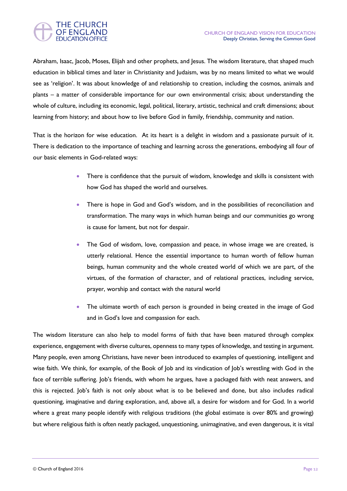

Abraham, Isaac, Jacob, Moses, Elijah and other prophets, and Jesus. The wisdom literature, that shaped much education in biblical times and later in Christianity and Judaism, was by no means limited to what we would see as 'religion'. It was about knowledge of and relationship to creation, including the cosmos, animals and plants – a matter of considerable importance for our own environmental crisis; about understanding the whole of culture, including its economic, legal, political, literary, artistic, technical and craft dimensions; about learning from history; and about how to live before God in family, friendship, community and nation.

That is the horizon for wise education. At its heart is a delight in wisdom and a passionate pursuit of it. There is dedication to the importance of teaching and learning across the generations, embodying all four of our basic elements in God-related ways:

- There is confidence that the pursuit of wisdom, knowledge and skills is consistent with how God has shaped the world and ourselves.
- There is hope in God and God's wisdom, and in the possibilities of reconciliation and transformation. The many ways in which human beings and our communities go wrong is cause for lament, but not for despair.
- The God of wisdom, love, compassion and peace, in whose image we are created, is utterly relational. Hence the essential importance to human worth of fellow human beings, human community and the whole created world of which we are part, of the virtues, of the formation of character, and of relational practices, including service, prayer, worship and contact with the natural world
- The ultimate worth of each person is grounded in being created in the image of God and in God's love and compassion for each.

The wisdom literature can also help to model forms of faith that have been matured through complex experience, engagement with diverse cultures, openness to many types of knowledge, and testing in argument. Many people, even among Christians, have never been introduced to examples of questioning, intelligent and wise faith. We think, for example, of the Book of Job and its vindication of Job's wrestling with God in the face of terrible suffering. Job's friends, with whom he argues, have a packaged faith with neat answers, and this is rejected. Job's faith is not only about what is to be believed and done, but also includes radical questioning, imaginative and daring exploration, and, above all, a desire for wisdom and for God. In a world where a great many people identify with religious traditions (the global estimate is over 80% and growing) but where religious faith is often neatly packaged, unquestioning, unimaginative, and even dangerous, it is vital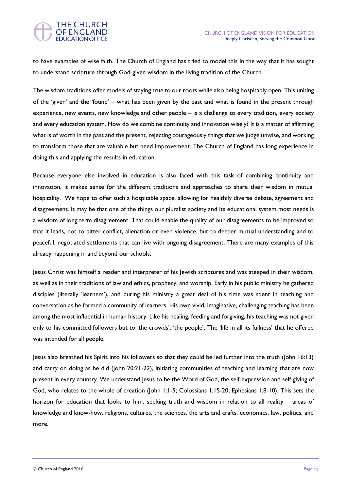#### **THE CHURCH** OF ENGLAND **EDUCATION OFFICE**

to have examples of wise faith. The Church of England has tried to model this in the way that it has sought to understand scripture through God-given wisdom in the living tradition of the Church.

The wisdom traditions offer models of staying true to our roots while also being hospitably open. This uniting of the 'given' and the 'found' – what has been given by the past and what is found in the present through experience, new events, new knowledge and other people – is a challenge to every tradition, every society and every education system. How do we combine continuity and innovation wisely? It is a matter of affirming what is of worth in the past and the present, rejecting courageously things that we judge unwise, and working to transform those that are valuable but need improvement. The Church of England has long experience in doing this and applying the results in education.

Because everyone else involved in education is also faced with this task of combining continuity and innovation, it makes sense for the different traditions and approaches to share their wisdom in mutual hospitality. We hope to offer such a hospitable space, allowing for healthily diverse debate, agreement and disagreement. It may be that one of the things our pluralist society and its educational system most needs is a wisdom of long term disagreement. That could enable the quality of our disagreements to be improved so that it leads, not to bitter conflict, alienation or even violence, but to deeper mutual understanding and to peaceful, negotiated settlements that can live with ongoing disagreement. There are many examples of this already happening in and beyond our schools.

Jesus Christ was himself a reader and interpreter of his Jewish scriptures and was steeped in their wisdom, as well as in their traditions of law and ethics, prophecy, and worship. Early in his public ministry he gathered disciples (literally 'learners'), and during his ministry a great deal of his time was spent in teaching and conversation as he formed a community of learners. His own vivid, imaginative, challenging teaching has been among the most influential in human history. Like his healing, feeding and forgiving, his teaching was not given only to his committed followers but to 'the crowds', 'the people'. The 'life in all its fullness' that he offered was intended for all people.

Jesus also breathed his Spirit into his followers so that they could be led further into the truth (John 16:13) and carry on doing as he did (John 20:21-22), initiating communities of teaching and learning that are now present in every country. We understand Jesus to be the Word of God, the self-expression and self-giving of God, who relates to the whole of creation (John 1:1-5; Colossians 1:15-20; Ephesians 1:8-10). This sets the horizon for education that looks to him, seeking truth and wisdom in relation to all reality – areas of knowledge and know-how, religions, cultures, the sciences, the arts and crafts, economics, law, politics, and more.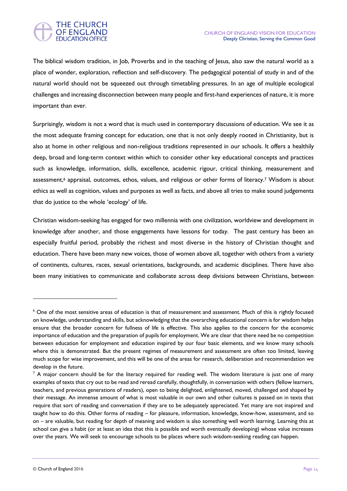

The biblical wisdom tradition, in Job, Proverbs and in the teaching of Jesus, also saw the natural world as a place of wonder, exploration, reflection and self-discovery. The pedagogical potential of study in and of the natural world should not be squeezed out through timetabling pressures. In an age of multiple ecological challenges and increasing disconnection between many people and first-hand experiences of nature, it is more important than ever.

Surprisingly, wisdom is not a word that is much used in contemporary discussions of education. We see it as the most adequate framing concept for education, one that is not only deeply rooted in Christianity, but is also at home in other religious and non-religious traditions represented in our schools. It offers a healthily deep, broad and long-term context within which to consider other key educational concepts and practices such as knowledge, information, skills, excellence, academic rigour, critical thinking, measurement and assessment,<sup>6</sup> appraisal, outcomes, ethos, values, and religious or other forms of literacy.<sup>7</sup> Wisdom is about ethics as well as cognition, values and purposes as well as facts, and above all tries to make sound judgements that do justice to the whole 'ecology' of life.

Christian wisdom-seeking has engaged for two millennia with one civilization, worldview and development in knowledge after another, and those engagements have lessons for today. The past century has been an especially fruitful period, probably the richest and most diverse in the history of Christian thought and education. There have been many new voices, those of women above all, together with others from a variety of continents, cultures, races, sexual orientations, backgrounds, and academic disciplines. There have also been many initiatives to communicate and collaborate across deep divisions between Christians, between

<sup>&</sup>lt;sup>6</sup> One of the most sensitive areas of education is that of measurement and assessment. Much of this is rightly focused on knowledge, understanding and skills, but acknowledging that the overarching educational concern is for wisdom helps ensure that the broader concern for fullness of life is effective. This also applies to the concern for the economic importance of education and the preparation of pupils for employment. We are clear that there need be no competition between education for employment and education inspired by our four basic elements, and we know many schools where this is demonstrated. But the present regimes of measurement and assessment are often too limited, leaving much scope for wise improvement, and this will be one of the areas for research, deliberation and recommendation we develop in the future.

 $<sup>7</sup>$  A major concern should be for the literacy required for reading well. The wisdom literature is just one of many</sup> examples of texts that cry out to be read and reread carefully, thoughtfully, in conversation with others (fellow learners, teachers, and previous generations of readers), open to being delighted, enlightened, moved, challenged and shaped by their message. An immense amount of what is most valuable in our own and other cultures is passed on in texts that require that sort of reading and conversation if they are to be adequately appreciated. Yet many are not inspired and taught how to do this. Other forms of reading – for pleasure, information, knowledge, know-how, assessment, and so on – are valuable, but reading for depth of meaning and wisdom is also something well worth learning. Learning this at school can give a habit (or at least an idea that this is possible and worth eventually developing) whose value increases over the years. We will seek to encourage schools to be places where such wisdom-seeking reading can happen.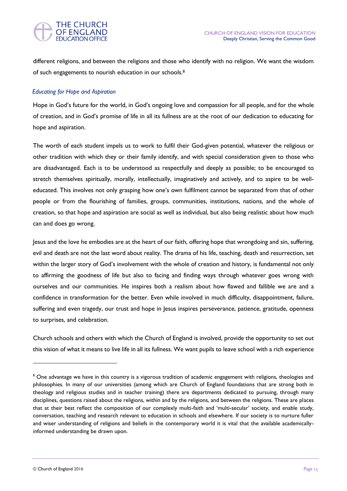#### **THE CHURCH OF ENGLAND EDUCATION OFFICE**

different religions, and between the religions and those who identify with no religion. We want the wisdom of such engagements to nourish education in our schools.<sup>8</sup>

#### *Educating for Hope and Aspiration*

Hope in God's future for the world, in God's ongoing love and compassion for all people, and for the whole of creation, and in God's promise of life in all its fullness are at the root of our dedication to educating for hope and aspiration.

The worth of each student impels us to work to fulfil their God-given potential, whatever the religious or other tradition with which they or their family identify, and with special consideration given to those who are disadvantaged. Each is to be understood as respectfully and deeply as possible; to be encouraged to stretch themselves spiritually, morally, intellectually, imaginatively and actively, and to aspire to be welleducated. This involves not only grasping how one's own fulfilment cannot be separated from that of other people or from the flourishing of families, groups, communities, institutions, nations, and the whole of creation, so that hope and aspiration are social as well as individual, but also being realistic about how much can and does go wrong.

Jesus and the love he embodies are at the heart of our faith, offering hope that wrongdoing and sin, suffering, evil and death are not the last word about reality. The drama of his life, teaching, death and resurrection, set within the larger story of God's involvement with the whole of creation and history, is fundamental not only to affirming the goodness of life but also to facing and finding ways through whatever goes wrong with ourselves and our communities. He inspires both a realism about how flawed and fallible we are and a confidence in transformation for the better. Even while involved in much difficulty, disappointment, failure, suffering and even tragedy, our trust and hope in Jesus inspires perseverance, patience, gratitude, openness to surprises, and celebration.

Church schools and others with which the Church of England is involved, provide the opportunity to set out this vision of what it means to live life in all its fullness. We want pupils to leave school with a rich experience

<sup>&</sup>lt;sup>8</sup> One advantage we have in this country is a vigorous tradition of academic engagement with religions, theologies and philosophies. In many of our universities (among which are Church of England foundations that are strong both in theology and religious studies and in teacher training) there are departments dedicated to pursuing, through many disciplines, questions raised about the religions, within and by the religions, and between the religions. These are places that at their best reflect the composition of our complexly multi-faith and 'multi-secular' society, and enable study, conversation, teaching and research relevant to education in schools and elsewhere. If our society is to nurture fuller and wiser understanding of religions and beliefs in the contemporary world it is vital that the available academicallyinformed understanding be drawn upon.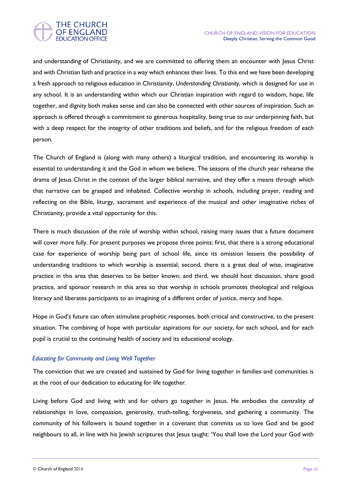

and understanding of Christianity, and we are committed to offering them an encounter with Jesus Christ and with Christian faith and practice in a way which enhances their lives. To this end we have been developing a fresh approach to religious education in Christianity, *Understanding Christianity*, which is designed for use in any school. It is an understanding within which our Christian inspiration with regard to wisdom, hope, life together, and dignity both makes sense and can also be connected with other sources of inspiration. Such an approach is offered through a commitment to generous hospitality, being true to our underpinning faith, but with a deep respect for the integrity of other traditions and beliefs, and for the religious freedom of each person.

The Church of England is (along with many others) a liturgical tradition, and encountering its worship is essential to understanding it and the God in whom we believe. The seasons of the church year rehearse the drama of Jesus Christ in the context of the larger biblical narrative, and they offer a means through which that narrative can be grasped and inhabited. Collective worship in schools, including prayer, reading and reflecting on the Bible, liturgy, sacrament and experience of the musical and other imaginative riches of Christianity, provide a vital opportunity for this.

There is much discussion of the role of worship within school, raising many issues that a future document will cover more fully. For present purposes we propose three points: first, that there is a strong educational case for experience of worship being part of school life, since its omission lessens the possibility of understanding traditions to which worship is essential; second, there is a great deal of wise, imaginative practice in this area that deserves to be better known; and third, we should host discussion, share good practice, and sponsor research in this area so that worship in schools promotes theological and religious literacy and liberates participants to an imagining of a different order of justice, mercy and hope.

Hope in God's future can often stimulate prophetic responses, both critical and constructive, to the present situation. The combining of hope with particular aspirations for our society, for each school, and for each pupil is crucial to the continuing health of society and its educational ecology.

#### *Educating for Community and Living Well Together*

The conviction that we are created and sustained by God for living together in families and communities is at the root of our dedication to educating for life together.

Living before God and living with and for others go together in Jesus. He embodies the centrality of relationships in love, compassion, generosity, truth-telling, forgiveness, and gathering a community. The community of his followers is bound together in a covenant that commits us to love God and be good neighbours to all, in line with his Jewish scriptures that Jesus taught: 'You shall love the Lord your God with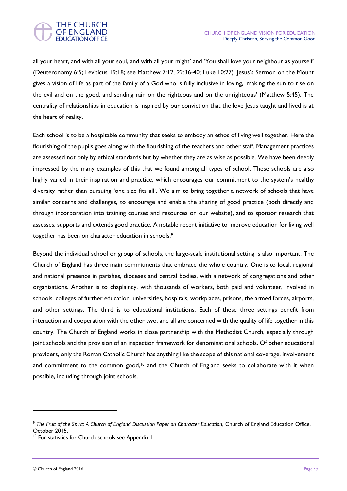

all your heart, and with all your soul, and with all your might' and 'You shall love your neighbour as yourself' (Deuteronomy 6:5; Leviticus 19:18; see Matthew 7:12, 22:36-40; Luke 10:27). Jesus's Sermon on the Mount gives a vision of life as part of the family of a God who is fully inclusive in loving, 'making the sun to rise on the evil and on the good, and sending rain on the righteous and on the unrighteous' (Matthew 5:45). The centrality of relationships in education is inspired by our conviction that the love Jesus taught and lived is at the heart of reality.

Each school is to be a hospitable community that seeks to embody an ethos of living well together. Here the flourishing of the pupils goes along with the flourishing of the teachers and other staff. Management practices are assessed not only by ethical standards but by whether they are as wise as possible. We have been deeply impressed by the many examples of this that we found among all types of school. These schools are also highly varied in their inspiration and practice, which encourages our commitment to the system's healthy diversity rather than pursuing 'one size fits all'. We aim to bring together a network of schools that have similar concerns and challenges, to encourage and enable the sharing of good practice (both directly and through incorporation into training courses and resources on our website), and to sponsor research that assesses, supports and extends good practice. A notable recent initiative to improve education for living well together has been on character education in schools.<sup>9</sup>

Beyond the individual school or group of schools, the large-scale institutional setting is also important. The Church of England has three main commitments that embrace the whole country. One is to local, regional and national presence in parishes, dioceses and central bodies, with a network of congregations and other organisations. Another is to chaplaincy, with thousands of workers, both paid and volunteer, involved in schools, colleges of further education, universities, hospitals, workplaces, prisons, the armed forces, airports, and other settings. The third is to educational institutions. Each of these three settings benefit from interaction and cooperation with the other two, and all are concerned with the quality of life together in this country. The Church of England works in close partnership with the Methodist Church, especially through joint schools and the provision of an inspection framework for denominational schools. Of other educational providers, only the Roman Catholic Church has anything like the scope of this national coverage, involvement and commitment to the common good,<sup>10</sup> and the Church of England seeks to collaborate with it when possible, including through joint schools.

<sup>&</sup>lt;sup>9</sup> The Fruit of the Spirit: A Church of England Discussion Paper on Character Education, Church of England Education Office, October 2015.

<sup>&</sup>lt;sup>10</sup> For statistics for Church schools see Appendix 1.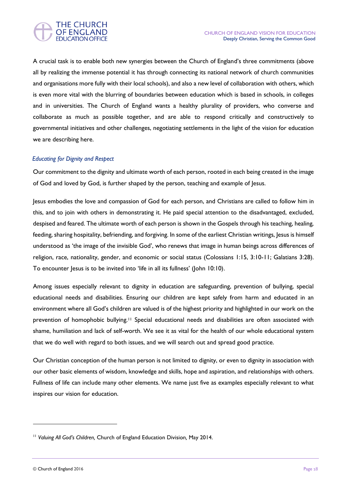A crucial task is to enable both new synergies between the Church of England's three commitments (above all by realizing the immense potential it has through connecting its national network of church communities and organisations more fully with their local schools), and also a new level of collaboration with others, which is even more vital with the blurring of boundaries between education which is based in schools, in colleges and in universities. The Church of England wants a healthy plurality of providers, who converse and collaborate as much as possible together, and are able to respond critically and constructively to governmental initiatives and other challenges, negotiating settlements in the light of the vision for education we are describing here.

#### *Educating for Dignity and Respect*

Our commitment to the dignity and ultimate worth of each person, rooted in each being created in the image of God and loved by God, is further shaped by the person, teaching and example of Jesus.

Jesus embodies the love and compassion of God for each person, and Christians are called to follow him in this, and to join with others in demonstrating it. He paid special attention to the disadvantaged, excluded, despised and feared. The ultimate worth of each person is shown in the Gospels through his teaching, healing, feeding, sharing hospitality, befriending, and forgiving. In some of the earliest Christian writings, Jesus is himself understood as 'the image of the invisible God', who renews that image in human beings across differences of religion, race, nationality, gender, and economic or social status (Colossians 1:15, 3:10-11; Galatians 3:28). To encounter Jesus is to be invited into 'life in all its fullness' (John 10:10).

Among issues especially relevant to dignity in education are safeguarding, prevention of bullying, special educational needs and disabilities. Ensuring our children are kept safely from harm and educated in an environment where all God's children are valued is of the highest priority and highlighted in our work on the prevention of homophobic bullying.<sup>11</sup> Special educational needs and disabilities are often associated with shame, humiliation and lack of self-worth. We see it as vital for the health of our whole educational system that we do well with regard to both issues, and we will search out and spread good practice.

Our Christian conception of the human person is not limited to dignity, or even to dignity in association with our other basic elements of wisdom, knowledge and skills, hope and aspiration, and relationships with others. Fullness of life can include many other elements. We name just five as examples especially relevant to what inspires our vision for education.

<sup>11</sup> *Valuing All God's Children,* Church of England Education Division*,* May 2014.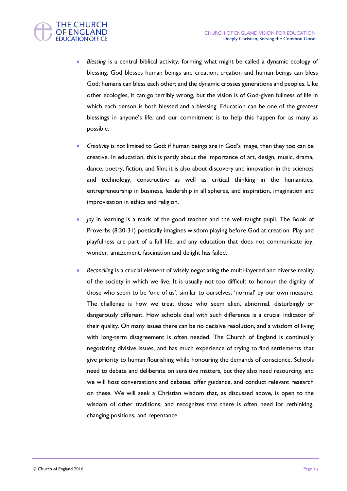

- *Blessing* is a central biblical activity, forming what might be called a dynamic ecology of blessing: God blesses human beings and creation; creation and human beings can bless God; humans can bless each other; and the dynamic crosses generations and peoples. Like other ecologies, it can go terribly wrong, but the vision is of God-given fullness of life in which each person is both blessed and a blessing. Education can be one of the greatest blessings in anyone's life, and our commitment is to help this happen for as many as possible.
- *Creativity* is not limited to God: if human beings are in God's image, then they too can be creative. In education, this is partly about the importance of art, design, music, drama, dance, poetry, fiction, and film; it is also about discovery and innovation in the sciences and technology, constructive as well as critical thinking in the humanities, entrepreneurship in business, leadership in all spheres, and inspiration, imagination and improvisation in ethics and religion.
- *Joy* in learning is a mark of the good teacher and the well-taught pupil. The Book of Proverbs (8:30-31) poetically imagines wisdom playing before God at creation. Play and playfulness are part of a full life, and any education that does not communicate joy, wonder, amazement, fascination and delight has failed.
- *Reconciling* is a crucial element of wisely negotiating the multi-layered and diverse reality of the society in which we live. It is usually not too difficult to honour the dignity of those who seem to be 'one of us', similar to ourselves, 'normal' by our own measure. The challenge is how we treat those who seem alien, abnormal, disturbingly or dangerously different. How schools deal with such difference is a crucial indicator of their quality. On many issues there can be no decisive resolution, and a wisdom of living with long-term disagreement is often needed. The Church of England is continually negotiating divisive issues, and has much experience of trying to find settlements that give priority to human flourishing while honouring the demands of conscience. Schools need to debate and deliberate on sensitive matters, but they also need resourcing, and we will host conversations and debates, offer guidance, and conduct relevant research on these. We will seek a Christian wisdom that, as discussed above, is open to the wisdom of other traditions, and recognizes that there is often need for rethinking, changing positions, and repentance.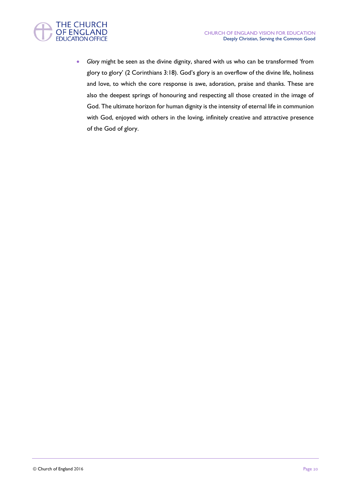

 *Glory* might be seen as the divine dignity, shared with us who can be transformed 'from glory to glory' (2 Corinthians 3:18). God's glory is an overflow of the divine life, holiness and love, to which the core response is awe, adoration, praise and thanks. These are also the deepest springs of honouring and respecting all those created in the image of God. The ultimate horizon for human dignity is the intensity of eternal life in communion with God, enjoyed with others in the loving, infinitely creative and attractive presence of the God of glory.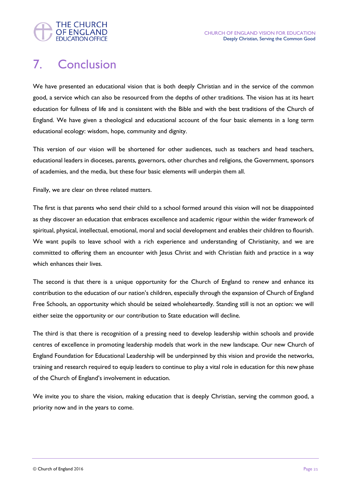

## 7. Conclusion

We have presented an educational vision that is both deeply Christian and in the service of the common good, a service which can also be resourced from the depths of other traditions. The vision has at its heart education for fullness of life and is consistent with the Bible and with the best traditions of the Church of England. We have given a theological and educational account of the four basic elements in a long term educational ecology: wisdom, hope, community and dignity.

This version of our vision will be shortened for other audiences, such as teachers and head teachers, educational leaders in dioceses, parents, governors, other churches and religions, the Government, sponsors of academies, and the media, but these four basic elements will underpin them all.

Finally, we are clear on three related matters.

The first is that parents who send their child to a school formed around this vision will not be disappointed as they discover an education that embraces excellence and academic rigour within the wider framework of spiritual, physical, intellectual, emotional, moral and social development and enables their children to flourish. We want pupils to leave school with a rich experience and understanding of Christianity, and we are committed to offering them an encounter with Jesus Christ and with Christian faith and practice in a way which enhances their lives.

The second is that there is a unique opportunity for the Church of England to renew and enhance its contribution to the education of our nation's children, especially through the expansion of Church of England Free Schools, an opportunity which should be seized wholeheartedly. Standing still is not an option: we will either seize the opportunity or our contribution to State education will decline.

The third is that there is recognition of a pressing need to develop leadership within schools and provide centres of excellence in promoting leadership models that work in the new landscape. Our new Church of England Foundation for Educational Leadership will be underpinned by this vision and provide the networks, training and research required to equip leaders to continue to play a vital role in education for this new phase of the Church of England's involvement in education.

We invite you to share the vision, making education that is deeply Christian, serving the common good, a priority now and in the years to come.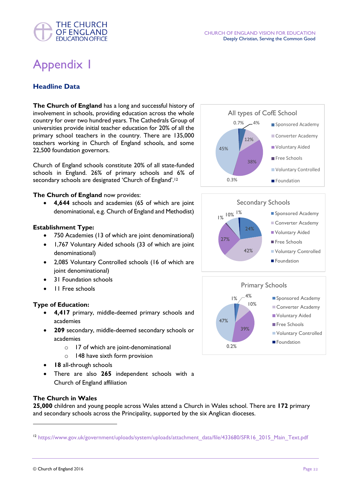# Appendix 1

**THE CHURCH OF ENGLAND EDUCATION OFFICE** 

#### **Headline Data**

**The Church of England** has a long and successful history of involvement in schools, providing education across the whole country for over two hundred years. The Cathedrals Group of universities provide initial teacher education for 20% of all the primary school teachers in the country. There are 135,000 teachers working in Church of England schools, and some 22,500 foundation governors.

Church of England schools constitute 20% of all state-funded schools in England. 26% of primary schools and 6% of secondary schools are designated 'Church of England'.<sup>12</sup>

#### **The Church of England** now provides:

 **4,644** schools and academies (65 of which are joint denominational, e.g. Church of England and Methodist)

#### **Establishment Type:**

- 750 Academies (13 of which are joint denominational)
- 1,767 Voluntary Aided schools (33 of which are joint denominational)
- 2,085 Voluntary Controlled schools (16 of which are joint denominational)
- 31 Foundation schools
- 11 Free schools

#### **Type of Education:**

- **4,417** primary, middle-deemed primary schools and academies
- **209** secondary, middle-deemed secondary schools or academies
	- o 17 of which are joint-denominational
	- o 148 have sixth form provision
- **18** all-through schools
- There are also **265** independent schools with a Church of England affiliation

#### **The Church in Wales**

**25,000** children and young people across Wales attend a Church in Wales school. There are **172** primary and secondary schools across the Principality, supported by the six Anglican dioceses.







<sup>12</sup> [https://www.gov.uk/government/uploads/system/uploads/attachment\\_data/file/433680/SFR16\\_2015\\_Main\\_Text.pdf](https://www.gov.uk/government/uploads/system/uploads/attachment_data/file/433680/SFR16_2015_Main_Text.pdf)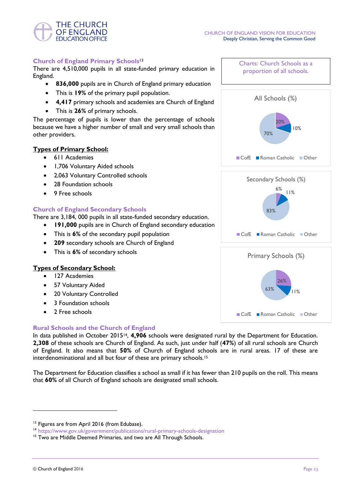

#### **Church of England Primary Schools**<sup>13</sup>

There are 4,510,000 pupils in all state-funded primary education in England.

- **836,000** pupils are in Church of England primary education
- This is **19%** of the primary pupil population.
- **4,417** primary schools and academies are Church of England
- This is **26%** of primary schools.

The percentage of pupils is lower than the percentage of schools because we have a higher number of small and very small schools than other providers.

#### **Types of Primary School:**

- 611 Academies
- 1,706 Voluntary Aided schools
- 2,063 Voluntary Controlled schools
- 28 Foundation schools
- 9 Free schools

#### **Church of England Secondary Schools**

There are 3,184, 000 pupils in all state-funded secondary education.

- **191,000** pupils are in Church of England secondary education
- This is **6%** of the secondary pupil population
- **209** secondary schools are Church of England
- This is **6%** of secondary schools

#### **Types of Secondary School:**

- 127 Academies
- 57 Voluntary Aided
- 20 Voluntary Controlled
- 3 Foundation schools
- 2 Free schools

#### **Rural Schools and the Church of England**

In data published in October 201514, **4,906** schools were designated rural by the Department for Education. **2,308** of these schools are Church of England. As such, just under half (**47%**) of all rural schools are Church of England. It also means that **50%** of Church of England schools are in rural areas. 17 of these are interdenominational and all but four of these are primary schools.<sup>15</sup>

The Department for Education classifies a school as small if it has fewer than 210 pupils on the roll. This means that **60%** of all Church of England schools are designated small schools.







<sup>&</sup>lt;sup>13</sup> Figures are from April 2016 (from Edubase).

<sup>14</sup> <https://www.gov.uk/government/publications/rural-primary-schools-designation>

<sup>&</sup>lt;sup>15</sup> Two are Middle Deemed Primaries, and two are All Through Schools.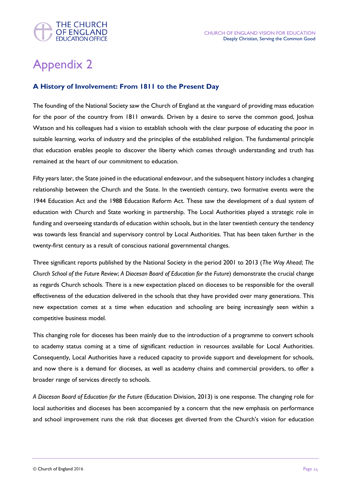

# Appendix 2

#### **A History of Involvement: From 1811 to the Present Day**

The founding of the National Society saw the Church of England at the vanguard of providing mass education for the poor of the country from 1811 onwards. Driven by a desire to serve the common good, Joshua Watson and his colleagues had a vision to establish schools with the clear purpose of educating the poor in suitable learning, works of industry and the principles of the established religion. The fundamental principle that education enables people to discover the liberty which comes through understanding and truth has remained at the heart of our commitment to education.

Fifty years later, the State joined in the educational endeavour, and the subsequent history includes a changing relationship between the Church and the State. In the twentieth century, two formative events were the 1944 Education Act and the 1988 Education Reform Act. These saw the development of a dual system of education with Church and State working in partnership. The Local Authorities played a strategic role in funding and overseeing standards of education within schools, but in the later twentieth century the tendency was towards less financial and supervisory control by Local Authorities. That has been taken further in the twenty-first century as a result of conscious national governmental changes.

Three significant reports published by the National Society in the period 2001 to 2013 (*The Way Ahead*; *The Church School of the Future Review*; *A Diocesan Board of Education for the Future*) demonstrate the crucial change as regards Church schools. There is a new expectation placed on dioceses to be responsible for the overall effectiveness of the education delivered in the schools that they have provided over many generations. This new expectation comes at a time when education and schooling are being increasingly seen within a competitive business model.

This changing role for dioceses has been mainly due to the introduction of a programme to convert schools to academy status coming at a time of significant reduction in resources available for Local Authorities. Consequently, Local Authorities have a reduced capacity to provide support and development for schools, and now there is a demand for dioceses, as well as academy chains and commercial providers, to offer a broader range of services directly to schools.

*A Diocesan Board of Education for the Future* (Education Division, 2013) is one response. The changing role for local authorities and dioceses has been accompanied by a concern that the new emphasis on performance and school improvement runs the risk that dioceses get diverted from the Church's vision for education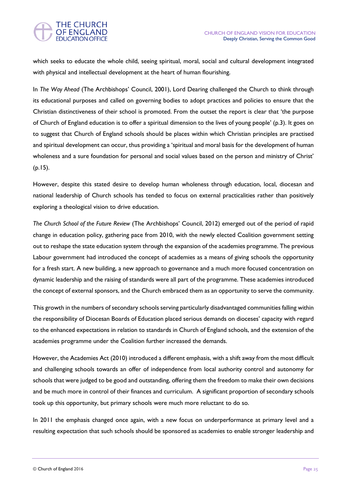#### **THE CHURCH** OF ENGLAND **EDUCATION OFFICE**

which seeks to educate the whole child, seeing spiritual, moral, social and cultural development integrated with physical and intellectual development at the heart of human flourishing.

In *The Way Ahead* (The Archbishops' Council, 2001), Lord Dearing challenged the Church to think through its educational purposes and called on governing bodies to adopt practices and policies to ensure that the Christian distinctiveness of their school is promoted. From the outset the report is clear that 'the purpose of Church of England education is to offer a spiritual dimension to the lives of young people' (p.3). It goes on to suggest that Church of England schools should be places within which Christian principles are practised and spiritual development can occur, thus providing a 'spiritual and moral basis for the development of human wholeness and a sure foundation for personal and social values based on the person and ministry of Christ' (p.15).

However, despite this stated desire to develop human wholeness through education, local, diocesan and national leadership of Church schools has tended to focus on external practicalities rather than positively exploring a theological vision to drive education.

*The Church School of the Future Review* (The Archbishops' Council, 2012) emerged out of the period of rapid change in education policy, gathering pace from 2010, with the newly elected Coalition government setting out to reshape the state education system through the expansion of the academies programme. The previous Labour government had introduced the concept of academies as a means of giving schools the opportunity for a fresh start. A new building, a new approach to governance and a much more focused concentration on dynamic leadership and the raising of standards were all part of the programme. These academies introduced the concept of external sponsors, and the Church embraced them as an opportunity to serve the community.

This growth in the numbers of secondary schools serving particularly disadvantaged communities falling within the responsibility of Diocesan Boards of Education placed serious demands on dioceses' capacity with regard to the enhanced expectations in relation to standards in Church of England schools, and the extension of the academies programme under the Coalition further increased the demands.

However, the Academies Act (2010) introduced a different emphasis, with a shift away from the most difficult and challenging schools towards an offer of independence from local authority control and autonomy for schools that were judged to be good and outstanding, offering them the freedom to make their own decisions and be much more in control of their finances and curriculum. A significant proportion of secondary schools took up this opportunity, but primary schools were much more reluctant to do so.

In 2011 the emphasis changed once again, with a new focus on underperformance at primary level and a resulting expectation that such schools should be sponsored as academies to enable stronger leadership and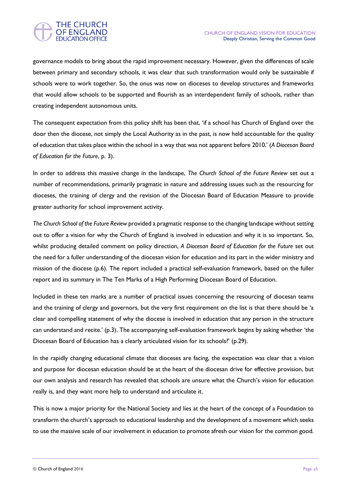

governance models to bring about the rapid improvement necessary. However, given the differences of scale between primary and secondary schools, it was clear that such transformation would only be sustainable if schools were to work together. So, the onus was now on dioceses to develop structures and frameworks that would allow schools to be supported and flourish as an interdependent family of schools, rather than creating independent autonomous units.

The consequent expectation from this policy shift has been that, 'if a school has Church of England over the door then the diocese, not simply the Local Authority as in the past, is now held accountable for the quality of education that takes place within the school in a way that was not apparent before 2010.' (*A Diocesan Board of Education for the Future*, p. 3).

In order to address this massive change in the landscape, *The Church School of the Future Review* set out a number of recommendations, primarily pragmatic in nature and addressing issues such as the resourcing for dioceses, the training of clergy and the revision of the Diocesan Board of Education Measure to provide greater authority for school improvement activity.

*The Church School of the Future Review* provided a pragmatic response to the changing landscape without setting out to offer a vision for why the Church of England is involved in education and why it is so important. So, whilst producing detailed comment on policy direction, *A Diocesan Board of Education for the Future* set out the need for a fuller understanding of the diocesan vision for education and its part in the wider ministry and mission of the diocese (p.6). The report included a practical self-evaluation framework, based on the fuller report and its summary in The Ten Marks of a High Performing Diocesan Board of Education.

Included in these ten marks are a number of practical issues concerning the resourcing of diocesan teams and the training of clergy and governors, but the very first requirement on the list is that there should be 'a clear and compelling statement of why the diocese is involved in education that any person in the structure can understand and recite.' (p.3). The accompanying self-evaluation framework begins by asking whether 'the Diocesan Board of Education has a clearly articulated vision for its schools?' (p.29).

In the rapidly changing educational climate that dioceses are facing, the expectation was clear that a vision and purpose for diocesan education should be at the heart of the diocesan drive for effective provision, but our own analysis and research has revealed that schools are unsure what the Church's vision for education really is, and they want more help to understand and articulate it.

This is now a major priority for the National Society and lies at the heart of the concept of a Foundation to transform the church's approach to educational leadership and the development of a movement which seeks to use the massive scale of our involvement in education to promote afresh our vision for the common good.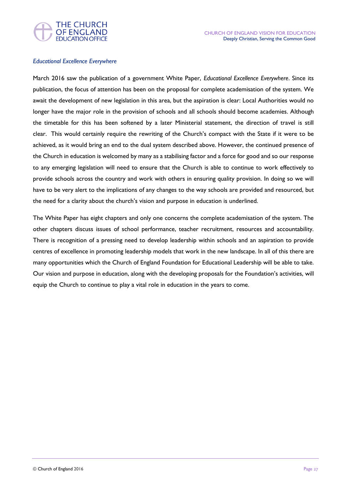



#### *Educational Excellence Everywhere*

March 2016 saw the publication of a government White Paper, *Educational Excellence Everywhere*. Since its publication, the focus of attention has been on the proposal for complete academisation of the system. We await the development of new legislation in this area, but the aspiration is clear: Local Authorities would no longer have the major role in the provision of schools and all schools should become academies. Although the timetable for this has been softened by a later Ministerial statement, the direction of travel is still clear. This would certainly require the rewriting of the Church's compact with the State if it were to be achieved, as it would bring an end to the dual system described above. However, the continued presence of the Church in education is welcomed by many as a stabilising factor and a force for good and so our response to any emerging legislation will need to ensure that the Church is able to continue to work effectively to provide schools across the country and work with others in ensuring quality provision. In doing so we will have to be very alert to the implications of any changes to the way schools are provided and resourced, but the need for a clarity about the church's vision and purpose in education is underlined.

The White Paper has eight chapters and only one concerns the complete academisation of the system. The other chapters discuss issues of school performance, teacher recruitment, resources and accountability. There is recognition of a pressing need to develop leadership within schools and an aspiration to provide centres of excellence in promoting leadership models that work in the new landscape. In all of this there are many opportunities which the Church of England Foundation for Educational Leadership will be able to take. Our vision and purpose in education, along with the developing proposals for the Foundation's activities, will equip the Church to continue to play a vital role in education in the years to come.